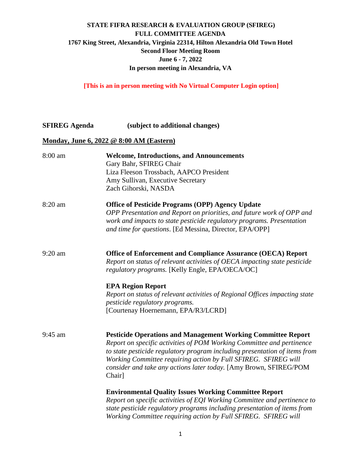**[This is an in person meeting with No Virtual Computer Login option]** 

**SFIREG Agenda (subject to additional changes)**

#### **Monday, June 6, 2022 @ 8:00 AM (Eastern)**

| 8:00 am   | <b>Welcome, Introductions, and Announcements</b><br>Gary Bahr, SFIREG Chair |
|-----------|-----------------------------------------------------------------------------|
|           | Liza Fleeson Trossbach, AAPCO President                                     |
|           | Amy Sullivan, Executive Secretary                                           |
|           | Zach Gihorski, NASDA                                                        |
| 8:20 am   | <b>Office of Pesticide Programs (OPP) Agency Update</b>                     |
|           | OPP Presentation and Report on priorities, and future work of OPP and       |
|           | work and impacts to state pesticide regulatory programs. Presentation       |
|           | and time for questions. [Ed Messina, Director, EPA/OPP]                     |
| 9:20 am   | <b>Office of Enforcement and Compliance Assurance (OECA) Report</b>         |
|           | Report on status of relevant activities of OECA impacting state pesticide   |
|           | regulatory programs. [Kelly Engle, EPA/OECA/OC]                             |
|           | <b>EPA Region Report</b>                                                    |
|           | Report on status of relevant activities of Regional Offices impacting state |
|           | <i>pesticide regulatory programs.</i>                                       |
|           | [Courtenay Hoernemann, EPA/R3/LCRD]                                         |
| $9:45$ am | <b>Pesticide Operations and Management Working Committee Report</b>         |
|           | Report on specific activities of POM Working Committee and pertinence       |
|           | to state pesticide regulatory program including presentation of items from  |
|           | Working Committee requiring action by Full SFIREG. SFIREG will              |
|           | consider and take any actions later today. [Amy Brown, SFIREG/POM           |
|           | Chair]                                                                      |
|           | <b>Environmental Quality Issues Working Committee Report</b>                |
|           | Report on specific activities of EQI Working Committee and pertinence to    |
|           | state pesticide regulatory programs including presentation of items from    |
|           | Working Committee requiring action by Full SFIREG. SFIREG will              |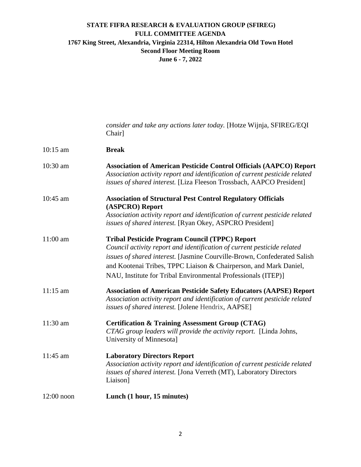|              | consider and take any actions later today. [Hotze Wijnja, SFIREG/EQI<br>Chair]                                                                                                                                                                                                                                                                     |
|--------------|----------------------------------------------------------------------------------------------------------------------------------------------------------------------------------------------------------------------------------------------------------------------------------------------------------------------------------------------------|
| $10:15$ am   | <b>Break</b>                                                                                                                                                                                                                                                                                                                                       |
| 10:30 am     | <b>Association of American Pesticide Control Officials (AAPCO) Report</b><br>Association activity report and identification of current pesticide related<br>issues of shared interest. [Liza Fleeson Trossbach, AAPCO President]                                                                                                                   |
| $10:45$ am   | <b>Association of Structural Pest Control Regulatory Officials</b><br>(ASPCRO) Report                                                                                                                                                                                                                                                              |
|              | Association activity report and identification of current pesticide related<br>issues of shared interest. [Ryan Okey, ASPCRO President]                                                                                                                                                                                                            |
| $11:00$ am   | <b>Tribal Pesticide Program Council (TPPC) Report</b><br>Council activity report and identification of current pesticide related<br>issues of shared interest. [Jasmine Courville-Brown, Confederated Salish<br>and Kootenai Tribes, TPPC Liaison & Chairperson, and Mark Daniel,<br>NAU, Institute for Tribal Environmental Professionals (ITEP)] |
| $11:15$ am   | <b>Association of American Pesticide Safety Educators (AAPSE) Report</b><br>Association activity report and identification of current pesticide related<br>issues of shared interest. [Jolene Hendrix, AAPSE]                                                                                                                                      |
| $11:30$ am   | <b>Certification &amp; Training Assessment Group (CTAG)</b><br>CTAG group leaders will provide the activity report. [Linda Johns,<br>University of Minnesota]                                                                                                                                                                                      |
| 11:45 am     | <b>Laboratory Directors Report</b><br>Association activity report and identification of current pesticide related<br>issues of shared interest. [Jona Verreth (MT), Laboratory Directors<br>Liaison]                                                                                                                                               |
| $12:00$ noon | Lunch (1 hour, 15 minutes)                                                                                                                                                                                                                                                                                                                         |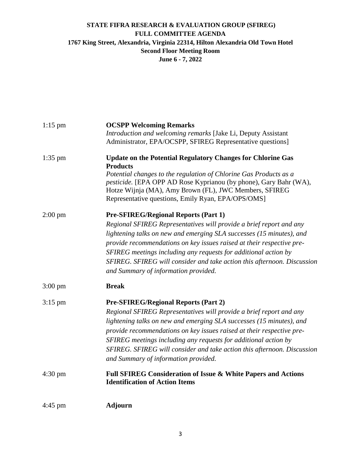| $1:15$ pm         | <b>OCSPP Welcoming Remarks</b>                                          |
|-------------------|-------------------------------------------------------------------------|
|                   | Introduction and welcoming remarks [Jake Li, Deputy Assistant           |
|                   | Administrator, EPA/OCSPP, SFIREG Representative questions]              |
| $1:35$ pm         | <b>Update on the Potential Regulatory Changes for Chlorine Gas</b>      |
|                   | <b>Products</b>                                                         |
|                   | Potential changes to the regulation of Chlorine Gas Products as a       |
|                   | pesticide. [EPA OPP AD Rose Kyprianou (by phone), Gary Bahr (WA),       |
|                   | Hotze Wijnja (MA), Amy Brown (FL), JWC Members, SFIREG                  |
|                   | Representative questions, Emily Ryan, EPA/OPS/OMS]                      |
| $2:00 \text{ pm}$ | <b>Pre-SFIREG/Regional Reports (Part 1)</b>                             |
|                   | Regional SFIREG Representatives will provide a brief report and any     |
|                   | lightening talks on new and emerging SLA successes (15 minutes), and    |
|                   | provide recommendations on key issues raised at their respective pre-   |
|                   | SFIREG meetings including any requests for additional action by         |
|                   | SFIREG. SFIREG will consider and take action this afternoon. Discussion |
|                   | and Summary of information provided.                                    |
| $3:00 \text{ pm}$ | <b>Break</b>                                                            |
|                   | <b>Pre-SFIREG/Regional Reports (Part 2)</b>                             |
| $3:15$ pm         |                                                                         |
|                   | Regional SFIREG Representatives will provide a brief report and any     |
|                   | lightening talks on new and emerging SLA successes (15 minutes), and    |
|                   | provide recommendations on key issues raised at their respective pre-   |
|                   | SFIREG meetings including any requests for additional action by         |
|                   | SFIREG. SFIREG will consider and take action this afternoon. Discussion |
|                   | and Summary of information provided.                                    |
| $4:30 \text{ pm}$ | Full SFIREG Consideration of Issue & White Papers and Actions           |
|                   | <b>Identification of Action Items</b>                                   |
| $4:45$ pm         | <b>Adjourn</b>                                                          |
|                   |                                                                         |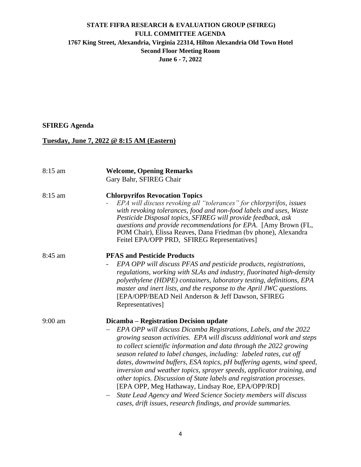## **SFIREG Agenda**

# **Tuesday, June 7, 2022 @ 8:15 AM (Eastern)**

| 8:15 am   | <b>Welcome, Opening Remarks</b><br>Gary Bahr, SFIREG Chair                                                                                                                                                                                                                                                                                                                                                                                                                                                                                                                                                                                                                                                                                           |
|-----------|------------------------------------------------------------------------------------------------------------------------------------------------------------------------------------------------------------------------------------------------------------------------------------------------------------------------------------------------------------------------------------------------------------------------------------------------------------------------------------------------------------------------------------------------------------------------------------------------------------------------------------------------------------------------------------------------------------------------------------------------------|
| $8:15$ am | <b>Chlorpyrifos Revocation Topics</b><br>EPA will discuss revoking all "tolerances" for chlorpyrifos, issues<br>with revoking tolerances, food and non-food labels and uses, Waste<br>Pesticide Disposal topics, SFIREG will provide feedback, ask<br>questions and provide recommendations for EPA. [Amy Brown (FL,<br>POM Chair), Elissa Reaves, Dana Friedman (by phone), Alexandra<br>Feitel EPA/OPP PRD, SFIREG Representatives]                                                                                                                                                                                                                                                                                                                |
| 8:45 am   | <b>PFAS and Pesticide Products</b><br>EPA OPP will discuss PFAS and pesticide products, registrations,<br>regulations, working with SLAs and industry, fluorinated high-density<br>polyethylene (HDPE) containers, laboratory testing, definitions, EPA<br>master and inert lists, and the response to the April JWC questions.<br>[EPA/OPP/BEAD Neil Anderson & Jeff Dawson, SFIREG<br>Representatives]                                                                                                                                                                                                                                                                                                                                             |
| $9:00$ am | Dicamba - Registration Decision update<br>EPA OPP will discuss Dicamba Registrations, Labels, and the 2022<br>growing season activities. EPA will discuss additional work and steps<br>to collect scientific information and data through the 2022 growing<br>season related to label changes, including: labeled rates, cut off<br>dates, downwind buffers, ESA topics, pH buffering agents, wind speed,<br>inversion and weather topics, sprayer speeds, applicator training, and<br>other topics. Discussion of State labels and registration processes.<br>[EPA OPP, Meg Hathaway, Lindsay Roe, EPA/OPP/RD]<br>State Lead Agency and Weed Science Society members will discuss<br>cases, drift issues, research findings, and provide summaries. |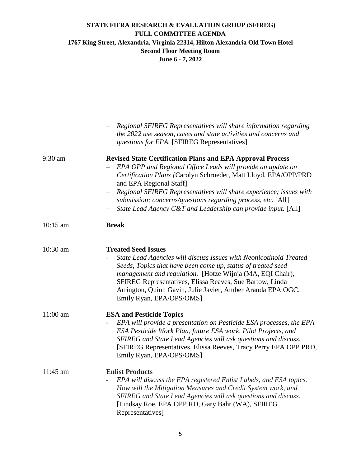|          | Regional SFIREG Representatives will share information regarding<br>the 2022 use season, cases and state activities and concerns and<br><i>questions for EPA.</i> [SFIREG Representatives]                                                                                                                                                                                                                                            |
|----------|---------------------------------------------------------------------------------------------------------------------------------------------------------------------------------------------------------------------------------------------------------------------------------------------------------------------------------------------------------------------------------------------------------------------------------------|
| 9:30 am  | <b>Revised State Certification Plans and EPA Approval Process</b><br>EPA OPP and Regional Office Leads will provide an update on<br>Certification Plans [Carolyn Schroeder, Matt Lloyd, EPA/OPP/PRD<br>and EPA Regional Staff]<br>Regional SFIREG Representatives will share experience; issues with<br>submission; concerns/questions regarding process, etc. [All]<br>State Lead Agency C&T and Leadership can provide input. [All] |
| 10:15 am | <b>Break</b>                                                                                                                                                                                                                                                                                                                                                                                                                          |
| 10:30 am | <b>Treated Seed Issues</b><br>State Lead Agencies will discuss Issues with Neonicotinoid Treated<br>Seeds, Topics that have been come up, status of treated seed<br>management and regulation. [Hotze Wijnja (MA, EQI Chair),<br>SFIREG Representatives, Elissa Reaves, Sue Bartow, Linda<br>Arrington, Quinn Gavin, Julie Javier, Amber Aranda EPA OGC,<br>Emily Ryan, EPA/OPS/OMS]                                                  |
| 11:00 am | <b>ESA and Pesticide Topics</b><br>EPA will provide a presentation on Pesticide ESA processes, the EPA<br>ESA Pesticide Work Plan, future ESA work, Pilot Projects, and<br>SFIREG and State Lead Agencies will ask questions and discuss.<br>[SFIREG Representatives, Elissa Reeves, Tracy Perry EPA OPP PRD,<br>Emily Ryan, EPA/OPS/OMS]                                                                                             |
| 11:45 am | <b>Enlist Products</b><br>EPA will discuss the EPA registered Enlist Labels, and ESA topics.<br>How will the Mitigation Measures and Credit System work, and<br>SFIREG and State Lead Agencies will ask questions and discuss.<br>[Lindsay Roe, EPA OPP RD, Gary Bahr (WA), SFIREG<br>Representatives]                                                                                                                                |